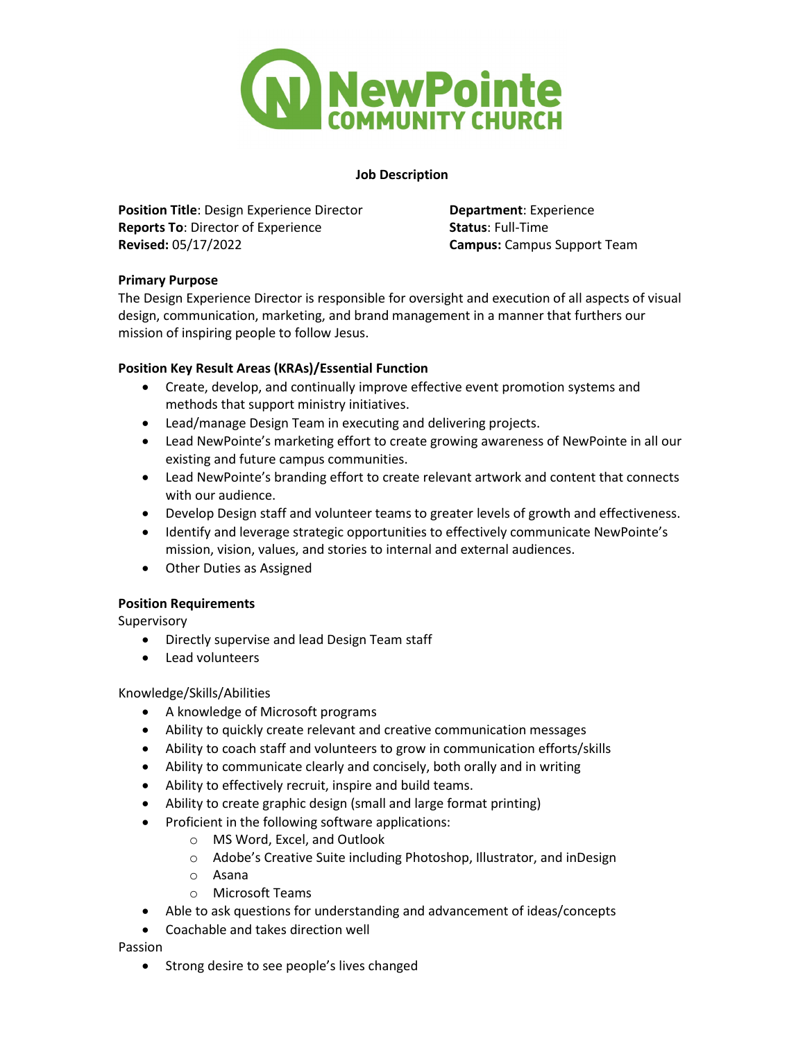

## **Job Description**

**Position Title**: Design Experience Director **Department**: Experience **Reports To**: Director of Experience **Status**: Full-Time **Revised:** 05/17/2022 **Campus:** Campus Support Team

# **Primary Purpose**

The Design Experience Director is responsible for oversight and execution of all aspects of visual design, communication, marketing, and brand management in a manner that furthers our mission of inspiring people to follow Jesus.

# **Position Key Result Areas (KRAs)/Essential Function**

- Create, develop, and continually improve effective event promotion systems and methods that support ministry initiatives.
- Lead/manage Design Team in executing and delivering projects.
- Lead NewPointe's marketing effort to create growing awareness of NewPointe in all our existing and future campus communities.
- Lead NewPointe's branding effort to create relevant artwork and content that connects with our audience.
- Develop Design staff and volunteer teams to greater levels of growth and effectiveness.
- Identify and leverage strategic opportunities to effectively communicate NewPointe's mission, vision, values, and stories to internal and external audiences.
- Other Duties as Assigned

## **Position Requirements**

Supervisory

- Directly supervise and lead Design Team staff
- Lead volunteers

## Knowledge/Skills/Abilities

- A knowledge of Microsoft programs
- Ability to quickly create relevant and creative communication messages
- Ability to coach staff and volunteers to grow in communication efforts/skills
- Ability to communicate clearly and concisely, both orally and in writing
- Ability to effectively recruit, inspire and build teams.
- Ability to create graphic design (small and large format printing)
- Proficient in the following software applications:
	- o MS Word, Excel, and Outlook
	- o Adobe's Creative Suite including Photoshop, Illustrator, and inDesign
	- o Asana
	- o Microsoft Teams
- Able to ask questions for understanding and advancement of ideas/concepts
- Coachable and takes direction well

Passion

• Strong desire to see people's lives changed